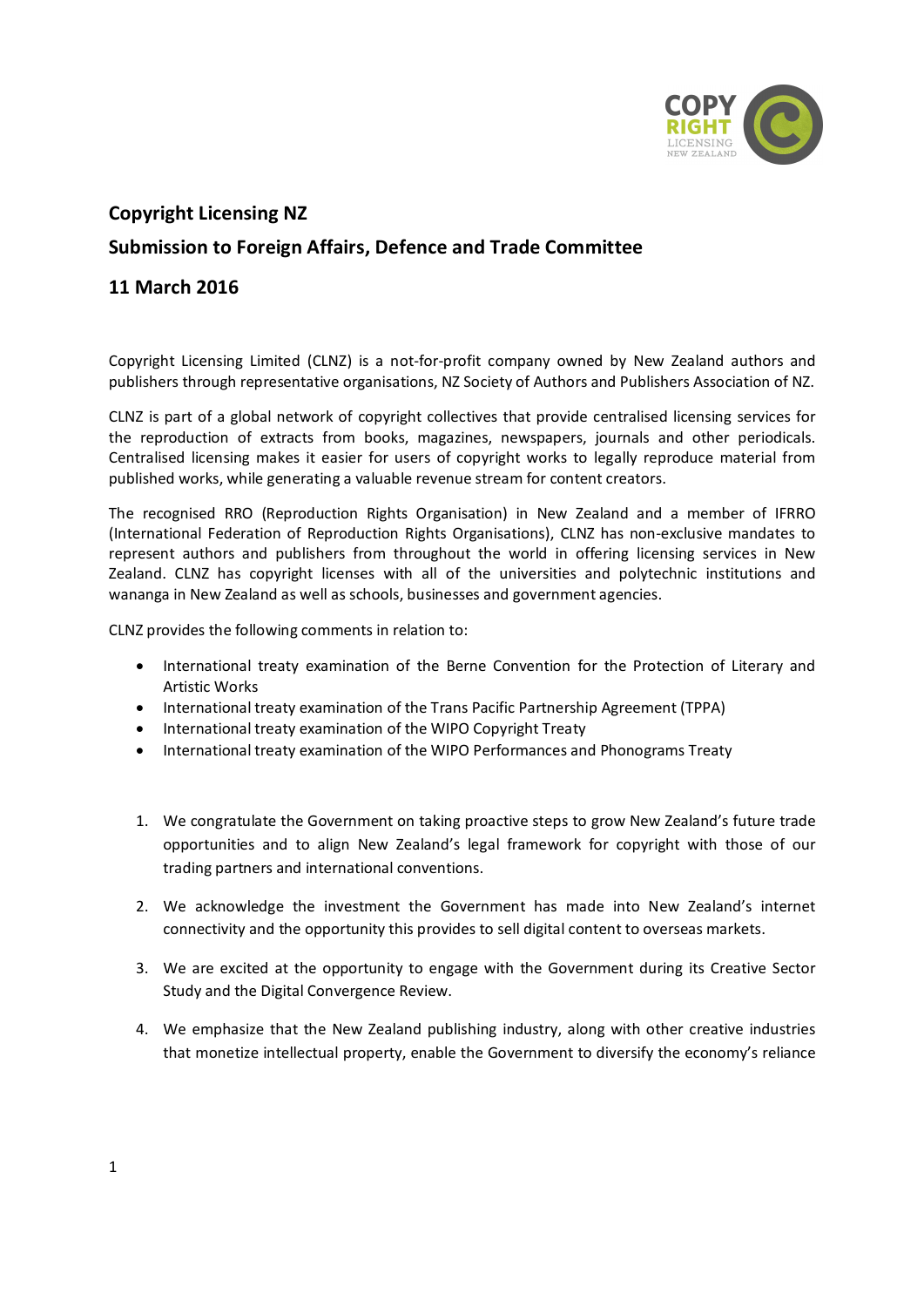

## **Copyright Licensing NZ**

## **Submission to Foreign Affairs, Defence and Trade Committee**

## **11 March 2016**

Copyright Licensing Limited (CLNZ) is a not-for-profit company owned by New Zealand authors and publishers through representative organisations, NZ Society of Authors and Publishers Association of NZ.

CLNZ is part of a global network of copyright collectives that provide centralised licensing services for the reproduction of extracts from books, magazines, newspapers, journals and other periodicals. Centralised licensing makes it easier for users of copyright works to legally reproduce material from published works, while generating a valuable revenue stream for content creators.

The recognised RRO (Reproduction Rights Organisation) in New Zealand and a member of IFRRO (International Federation of Reproduction Rights Organisations), CLNZ has non-exclusive mandates to represent authors and publishers from throughout the world in offering licensing services in New Zealand. CLNZ has copyright licenses with all of the universities and polytechnic institutions and wananga in New Zealand as well as schools, businesses and government agencies.

CLNZ provides the following comments in relation to:

- · International treaty examination of the Berne Convention for the Protection of Literary and Artistic Works
- · International treaty examination of the Trans Pacific Partnership Agreement (TPPA)
- · International treaty examination of the WIPO Copyright Treaty
- · International treaty examination of the WIPO Performances and Phonograms Treaty
- 1. We congratulate the Government on taking proactive steps to grow New Zealand's future trade opportunities and to align New Zealand's legal framework for copyright with those of our trading partners and international conventions.
- 2. We acknowledge the investment the Government has made into New Zealand's internet connectivity and the opportunity this provides to sell digital content to overseas markets.
- 3. We are excited at the opportunity to engage with the Government during its Creative Sector Study and the Digital Convergence Review.
- 4. We emphasize that the New Zealand publishing industry, along with other creative industries that monetize intellectual property, enable the Government to diversify the economy's reliance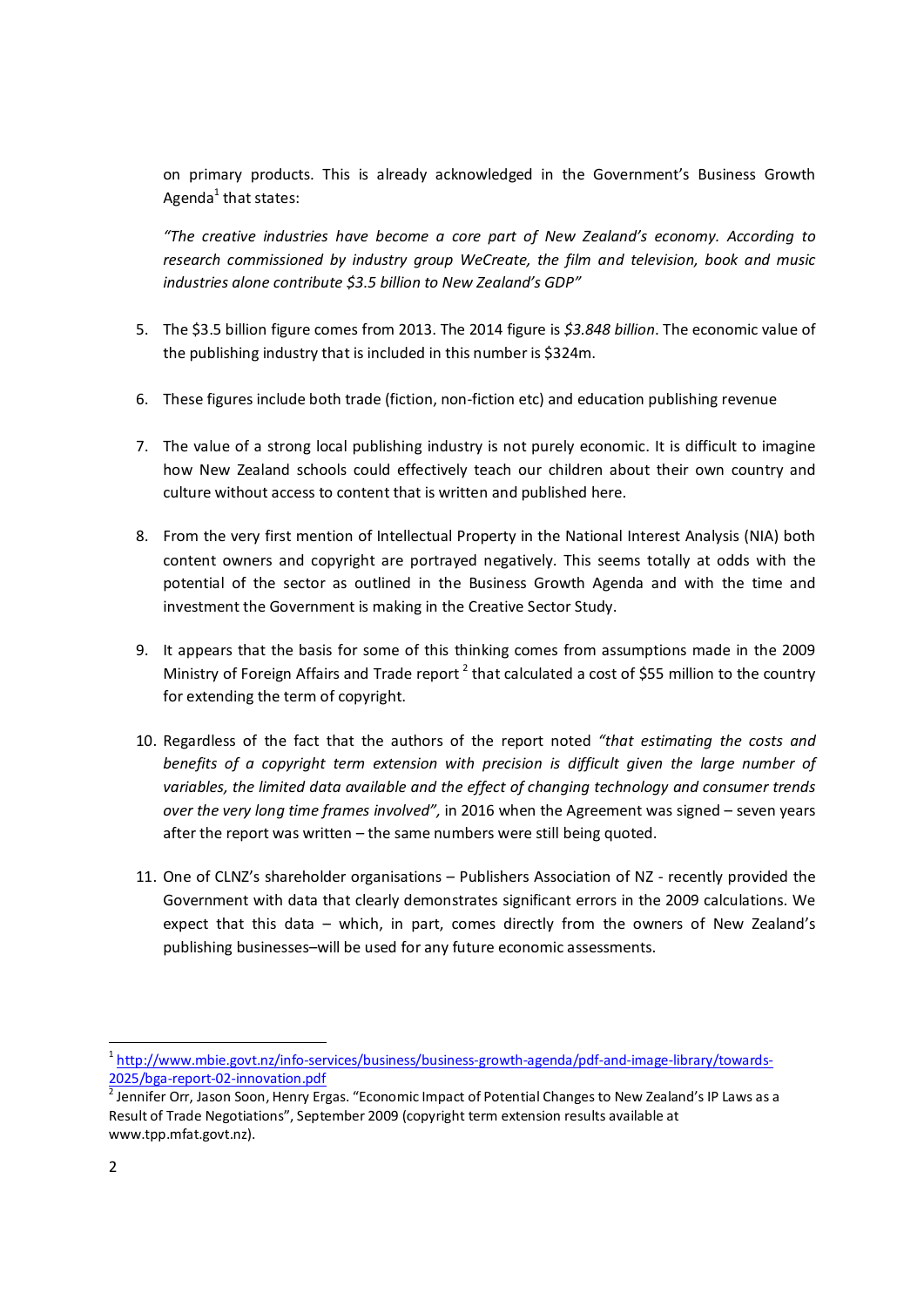on primary products. This is already acknowledged in the Government's Business Growth Agenda $<sup>1</sup>$  that states:</sup>

*"The creative industries have become a core part of New Zealand's economy. According to research commissioned by industry group WeCreate, the film and television, book and music industries alone contribute \$3.5 billion to New Zealand's GDP"*

- 5. The \$3.5 billion figure comes from 2013. The 2014 figure is *\$3.848 billion*. The economic value of the publishing industry that is included in this number is \$324m.
- 6. These figures include both trade (fiction, non-fiction etc) and education publishing revenue
- 7. The value of a strong local publishing industry is not purely economic. It is difficult to imagine how New Zealand schools could effectively teach our children about their own country and culture without access to content that is written and published here.
- 8. From the very first mention of Intellectual Property in the National Interest Analysis (NIA) both content owners and copyright are portrayed negatively. This seems totally at odds with the potential of the sector as outlined in the Business Growth Agenda and with the time and investment the Government is making in the Creative Sector Study.
- 9. It appears that the basis for some of this thinking comes from assumptions made in the 2009 Ministry of Foreign Affairs and Trade report<sup>2</sup> that calculated a cost of \$55 million to the country for extending the term of copyright.
- 10. Regardless of the fact that the authors of the report noted *"that estimating the costs and*  benefits of a copyright term extension with precision is difficult given the large number of *variables, the limited data available and the effect of changing technology and consumer trends over the very long time frames involved",* in 2016 when the Agreement was signed – seven years after the report was written – the same numbers were still being quoted.
- 11. One of CLNZ's shareholder organisations Publishers Association of NZ recently provided the Government with data that clearly demonstrates significant errors in the 2009 calculations. We expect that this data – which, in part, comes directly from the owners of New Zealand's publishing businesses–will be used for any future economic assessments.

<sup>&</sup>lt;sup>1</sup> http://www.mbie.govt.nz/info-services/business/business-growth-agenda/pdf-and-image-library/towards-2025/bga-report-02-innovation.pdf<br><sup>2</sup> Jennifer Orr, Jason Soon, Henry Ergas. "Economic Impact of Potential Changes to New Zealand's IP Laws as a

Result of Trade Negotiations", September 2009 (copyright term extension results available at www.tpp.mfat.govt.nz).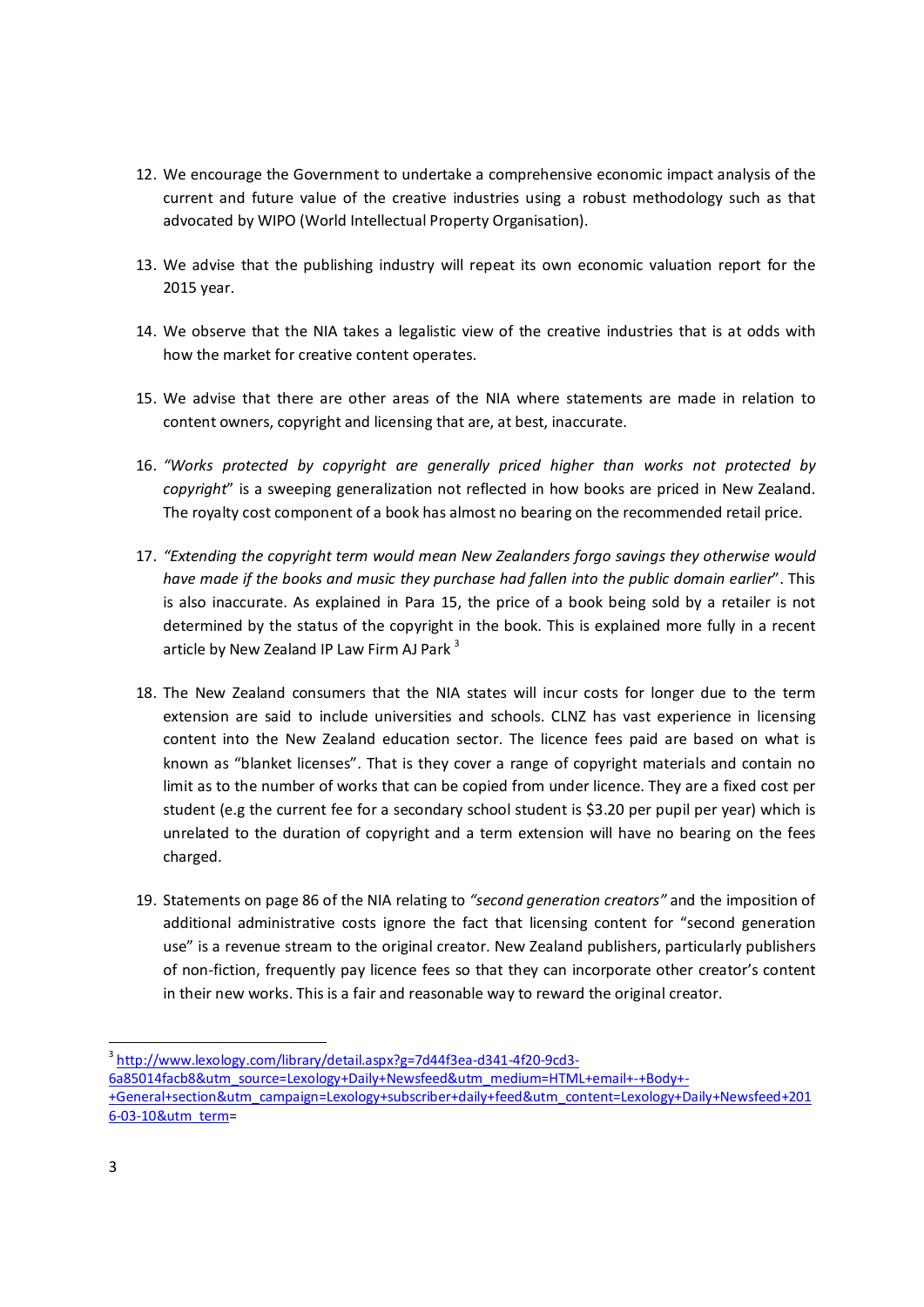- 12. We encourage the Government to undertake a comprehensive economic impact analysis of the current and future value of the creative industries using a robust methodology such as that advocated by WIPO (World Intellectual Property Organisation).
- 13. We advise that the publishing industry will repeat its own economic valuation report for the 2015 year.
- 14. We observe that the NIA takes a legalistic view of the creative industries that is at odds with how the market for creative content operates.
- 15. We advise that there are other areas of the NIA where statements are made in relation to content owners, copyright and licensing that are, at best, inaccurate.
- 16. *"Works protected by copyright are generally priced higher than works not protected by copyright*" is a sweeping generalization not reflected in how books are priced in New Zealand. The royalty cost component of a book has almost no bearing on the recommended retail price.
- 17. *"Extending the copyright term would mean New Zealanders forgo savings they otherwise would have made if the books and music they purchase had fallen into the public domain earlier*". This is also inaccurate. As explained in Para 15, the price of a book being sold by a retailer is not determined by the status of the copyright in the book. This is explained more fully in a recent article by New Zealand IP Law Firm AJ Park<sup>3</sup>
- 18. The New Zealand consumers that the NIA states will incur costs for longer due to the term extension are said to include universities and schools. CLNZ has vast experience in licensing content into the New Zealand education sector. The licence fees paid are based on what is known as "blanket licenses". That is they cover a range of copyright materials and contain no limit as to the number of works that can be copied from under licence. They are a fixed cost per student (e.g the current fee for a secondary school student is \$3.20 per pupil per year) which is unrelated to the duration of copyright and a term extension will have no bearing on the fees charged.
- 19. Statements on page 86 of the NIA relating to *"second generation creators"* and the imposition of additional administrative costs ignore the fact that licensing content for "second generation use" is a revenue stream to the original creator. New Zealand publishers, particularly publishers of non-fiction, frequently pay licence fees so that they can incorporate other creator's content in their new works. This is a fair and reasonable way to reward the original creator.

<sup>&</sup>lt;sup>3</sup> http://www.lexology.com/library/detail.aspx?g=7d44f3ea-d341-4f20-9cd3-6a85014facb8&utm\_source=Lexology+Daily+Newsfeed&utm\_medium=HTML+email+-+Body+- +General+section&utm\_campaign=Lexology+subscriber+daily+feed&utm\_content=Lexology+Daily+Newsfeed+201 6-03-10&utm\_term=